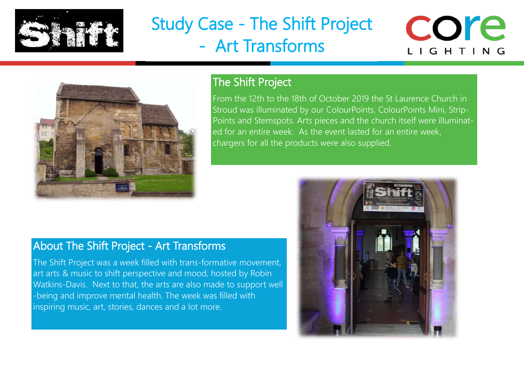

## Study Case - The Shift Project - Art Transforms





### The Shift Project

From the 12th to the 18th of October 2019 the St Laurence Church in Stroud was illuminated by our ColourPoints, ColourPoints Mini, Strip-Points and Stemspots. Arts pieces and the church itself were illuminated for an entire week. As the event lasted for an entire week, chargers for all the products were also supplied.

### About The Shift Project - Art Transforms

The Shift Project was a week filled with trans-formative movement, art arts & music to shift perspective and mood, hosted by Robin Watkins-Davis. Next to that, the arts are also made to support well -being and improve mental health. The week was filled with inspiring music, art, stories, dances and a lot more.

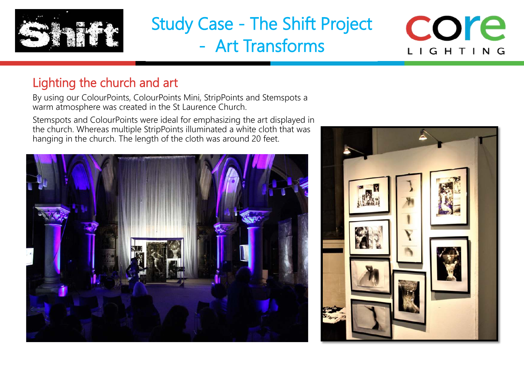

# Study Case - The Shift Project - Art Transforms

## core LIGHTING

## Lighting the church and art

By using our ColourPoints, ColourPoints Mini, StripPoints and Stemspots a warm atmosphere was created in the St Laurence Church.

Stemspots and ColourPoints were ideal for emphasizing the art displayed in the church. Whereas multiple StripPoints illuminated a white cloth that was hanging in the church. The length of the cloth was around 20 feet.